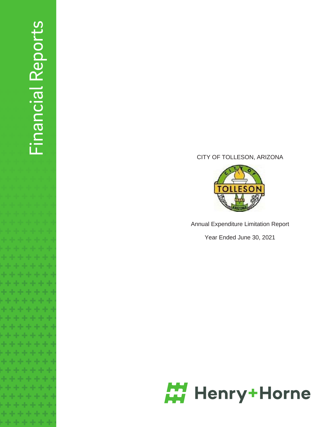# Financial Reports Financial Reports

# CITY OF TOLLESON, ARIZONA



Annual Expenditure Limitation Report

Year Ended June 30, 2021

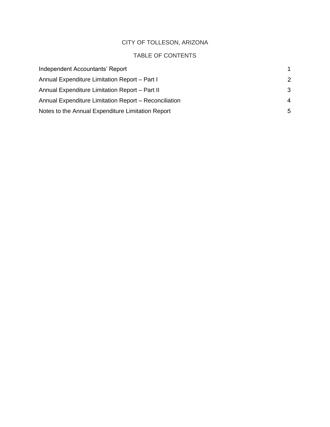# CITY OF TOLLESON, ARIZONA

# TABLE OF CONTENTS

| Independent Accountants' Report                       |                |
|-------------------------------------------------------|----------------|
| Annual Expenditure Limitation Report - Part I         | 2              |
| Annual Expenditure Limitation Report – Part II        | -3             |
| Annual Expenditure Limitation Report – Reconciliation | $\overline{4}$ |
| Notes to the Annual Expenditure Limitation Report     | 5              |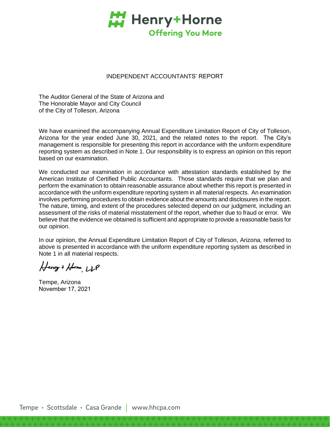

#### INDEPENDENT ACCOUNTANTS' REPORT

The Auditor General of the State of Arizona and The Honorable Mayor and City Council of the City of Tolleson, Arizona

We have examined the accompanying Annual Expenditure Limitation Report of City of Tolleson, Arizona for the year ended June 30, 2021, and the related notes to the report. The City's management is responsible for presenting this report in accordance with the uniform expenditure reporting system as described in Note 1. Our responsibility is to express an opinion on this report based on our examination.

We conducted our examination in accordance with attestation standards established by the American Institute of Certified Public Accountants. Those standards require that we plan and perform the examination to obtain reasonable assurance about whether this report is presented in accordance with the uniform expenditure reporting system in all material respects. An examination involves performing procedures to obtain evidence about the amounts and disclosures in the report. The nature, timing, and extent of the procedures selected depend on our judgment, including an assessment of the risks of material misstatement of the report, whether due to fraud or error. We believe that the evidence we obtained is sufficient and appropriate to provide a reasonable basis for our opinion.

In our opinion, the Annual Expenditure Limitation Report of City of Tolleson, Arizona, referred to above is presented in accordance with the uniform expenditure reporting system as described in Note 1 in all material respects.

Henry + Home LLP

Tempe, Arizona November 17, 2021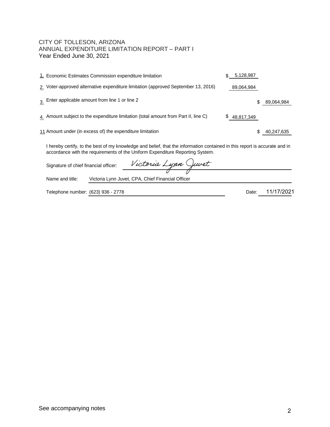## CITY OF TOLLESON, ARIZONA ANNUAL EXPENDITURE LIMITATION REPORT - PART I Year Ended June 30, 2021

| 1. Economic Estimates Commission expenditure limitation                                                                                                                                                     |     | 5,128,987  |            |
|-------------------------------------------------------------------------------------------------------------------------------------------------------------------------------------------------------------|-----|------------|------------|
| 2. Voter-approved alternative expenditure limitation (approved September 13, 2016)                                                                                                                          |     | 89,064,984 |            |
| $\frac{3}{100}$ . Enter applicable amount from line 1 or line 2                                                                                                                                             |     |            | 89,064,984 |
| 4. Amount subject to the expenditure limitation (total amount from Part II, line C)                                                                                                                         | \$. | 48,817,349 |            |
| 11 Amount under (in excess of) the expenditure limitation                                                                                                                                                   |     |            | 40,247,635 |
| I hereby certify, to the best of my knowledge and belief, that the information contained in this report is accurate and in<br>accordance with the requirements of the Uniform Expenditure Reporting System. |     |            |            |
| Victoria Lynn Juvet<br>Signature of chief financial officer:                                                                                                                                                |     |            |            |
| Name and title:<br>Victoria Lynn Juvet, CPA, Chief Financial Officer                                                                                                                                        |     |            |            |
| Telephone number: (623) 936 - 2778                                                                                                                                                                          |     | Date:      |            |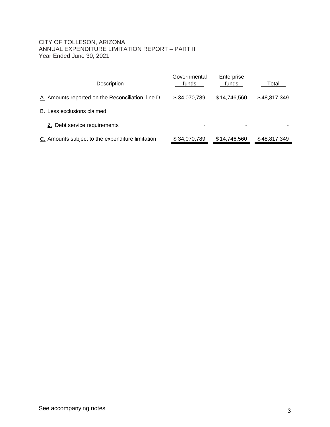## <span id="page-4-0"></span>CITY OF TOLLESON, ARIZONA ANNUAL EXPENDITURE LIMITATION REPORT – PART II Year Ended June 30, 2021

| Description                                       | Governmental<br>funds    | Enterprise<br>funds | Total        |
|---------------------------------------------------|--------------------------|---------------------|--------------|
| A. Amounts reported on the Reconciliation, line D | \$34,070,789             | \$14,746,560        | \$48,817,349 |
| B. Less exclusions claimed:                       |                          |                     |              |
| 2. Debt service requirements                      | $\overline{\phantom{0}}$ |                     |              |
| C. Amounts subject to the expenditure limitation  | \$34,070,789             | \$14,746,560        | \$48,817,349 |
|                                                   |                          |                     |              |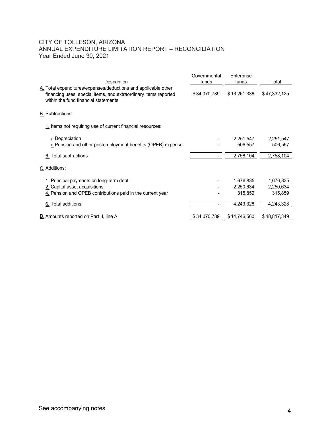## CITY OF TOLLESON, ARIZONA ANNUAL EXPENDITURE LIMITATION REPORT – RECONCILIATION Year Ended June 30, 2021

| CITY OF TOLLESON, ARIZONA                                                                                                                                                 |                |                        |                        |
|---------------------------------------------------------------------------------------------------------------------------------------------------------------------------|----------------|------------------------|------------------------|
|                                                                                                                                                                           |                |                        |                        |
|                                                                                                                                                                           |                |                        |                        |
|                                                                                                                                                                           |                |                        |                        |
|                                                                                                                                                                           |                |                        |                        |
|                                                                                                                                                                           |                |                        |                        |
|                                                                                                                                                                           |                |                        |                        |
|                                                                                                                                                                           |                |                        |                        |
|                                                                                                                                                                           |                |                        |                        |
| ANNUAL EXPENDITURE LIMITATION REPORT - RECONCILIATION<br>Year Ended June 30, 2021                                                                                         |                |                        |                        |
|                                                                                                                                                                           |                |                        |                        |
|                                                                                                                                                                           | Governmental   | Enterprise             |                        |
| Description                                                                                                                                                               | funds          | funds                  | Total                  |
| A. Total expenditures/expenses/deductions and applicable other<br>financing uses, special items, and extraordinary items reported<br>within the fund financial statements | \$34,070,789   | \$13,261,336           | \$47,332,125           |
| <b>B.</b> Subtractions:                                                                                                                                                   |                |                        |                        |
| 1. Items not requiring use of current financial resources:                                                                                                                |                |                        |                        |
| a Depreciation                                                                                                                                                            |                | 2,251,547              | 2,251,547              |
| d. Pension and other postemployment benefits (OPEB) expense                                                                                                               |                | 506,557                | 506,557                |
|                                                                                                                                                                           | $\blacksquare$ | 2,758,104              | 2,758,104              |
| 6. Total subtractions                                                                                                                                                     |                |                        |                        |
| C. Additions:                                                                                                                                                             |                |                        |                        |
|                                                                                                                                                                           |                |                        |                        |
| 1. Principal payments on long-term debt<br>2. Capital asset acquisitions                                                                                                  |                | 1,676,835<br>2,250,634 | 1,676,835<br>2,250,634 |
| 4. Pension and OPEB contributions paid in the current year                                                                                                                |                | 315,859                | 315,859                |
| 6. Total additions                                                                                                                                                        | $\blacksquare$ | 4,243,328              | 4,243,328              |